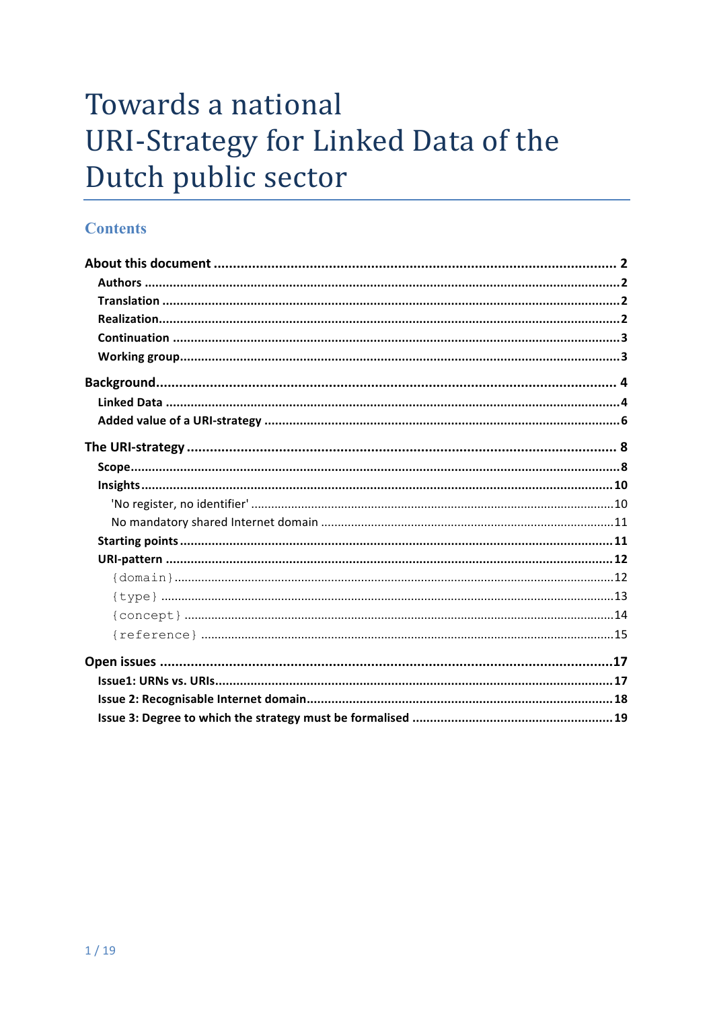# Towards a national **URI-Strategy for Linked Data of the** Dutch public sector

#### **Contents**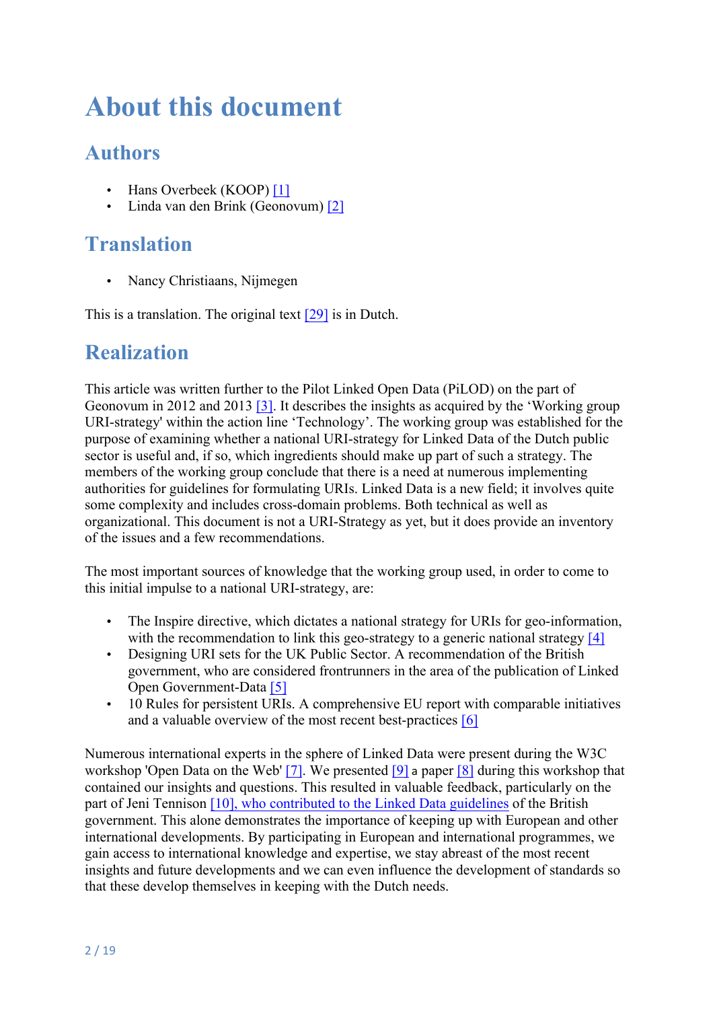# **About this document**

## **Authors**

- Hans Overbeek (KOOP) [1]
- Linda van den Brink (Geonovum) [2]

# **Translation**

• Nancy Christiaans, Nijmegen

This is a translation. The original text [29] is in Dutch.

#### **Realization**

This article was written further to the Pilot Linked Open Data (PiLOD) on the part of Geonovum in 2012 and 2013 [3]. It describes the insights as acquired by the 'Working group URI-strategy' within the action line 'Technology'. The working group was established for the purpose of examining whether a national URI-strategy for Linked Data of the Dutch public sector is useful and, if so, which ingredients should make up part of such a strategy. The members of the working group conclude that there is a need at numerous implementing authorities for guidelines for formulating URIs. Linked Data is a new field; it involves quite some complexity and includes cross-domain problems. Both technical as well as organizational. This document is not a URI-Strategy as yet, but it does provide an inventory of the issues and a few recommendations.

The most important sources of knowledge that the working group used, in order to come to this initial impulse to a national URI-strategy, are:

- The Inspire directive, which dictates a national strategy for URIs for geo-information, with the recommendation to link this geo-strategy to a generic national strategy [4]
- Designing URI sets for the UK Public Sector. A recommendation of the British government, who are considered frontrunners in the area of the publication of Linked Open Government-Data [5]
- 10 Rules for persistent URIs. A comprehensive EU report with comparable initiatives and a valuable overview of the most recent best-practices [6]

Numerous international experts in the sphere of Linked Data were present during the W3C workshop 'Open Data on the Web' [7]. We presented [9] a paper [8] during this workshop that contained our insights and questions. This resulted in valuable feedback, particularly on the part of Jeni Tennison [10], who contributed to the Linked Data guidelines of the British government. This alone demonstrates the importance of keeping up with European and other international developments. By participating in European and international programmes, we gain access to international knowledge and expertise, we stay abreast of the most recent insights and future developments and we can even influence the development of standards so that these develop themselves in keeping with the Dutch needs.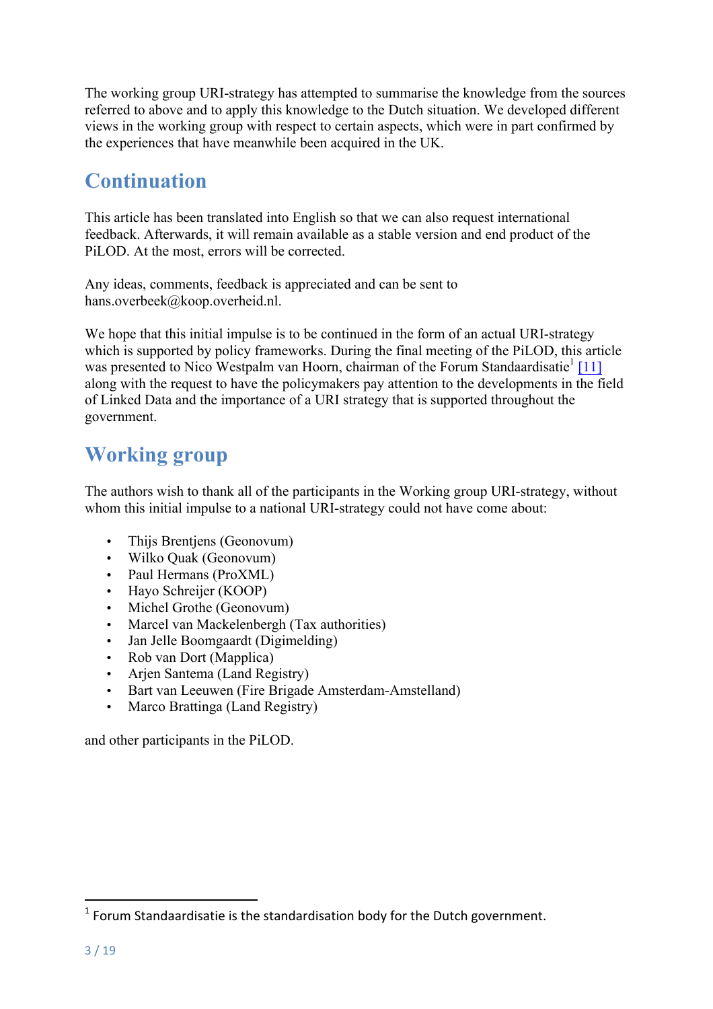The working group URI-strategy has attempted to summarise the knowledge from the sources referred to above and to apply this knowledge to the Dutch situation. We developed different views in the working group with respect to certain aspects, which were in part confirmed by the experiences that have meanwhile been acquired in the UK.

## **Continuation**

This article has been translated into English so that we can also request international feedback. Afterwards, it will remain available as a stable version and end product of the PiLOD. At the most, errors will be corrected.

Any ideas, comments, feedback is appreciated and can be sent to hans.overbeek@koop.overheid.nl.

We hope that this initial impulse is to be continued in the form of an actual URI-strategy which is supported by policy frameworks. During the final meeting of the PiLOD, this article was presented to Nico Westpalm van Hoorn, chairman of the Forum Standaardisatie<sup>1</sup> [11] along with the request to have the policymakers pay attention to the developments in the field of Linked Data and the importance of a URI strategy that is supported throughout the government.

## **Working group**

The authors wish to thank all of the participants in the Working group URI-strategy, without whom this initial impulse to a national URI-strategy could not have come about:

- Thijs Brentiens (Geonovum)
- Wilko Quak (Geonovum)
- Paul Hermans (ProXML)
- Hayo Schreijer (KOOP)
- Michel Grothe (Geonovum)
- Marcel van Mackelenbergh (Tax authorities)
- Jan Jelle Boomgaardt (Digimelding)
- Rob van Dort (Mapplica)
- Arjen Santema (Land Registry)
- Bart van Leeuwen (Fire Brigade Amsterdam-Amstelland)
- Marco Brattinga (Land Registry)

and other participants in the PiLOD.

 

 $1$  Forum Standaardisatie is the standardisation body for the Dutch government.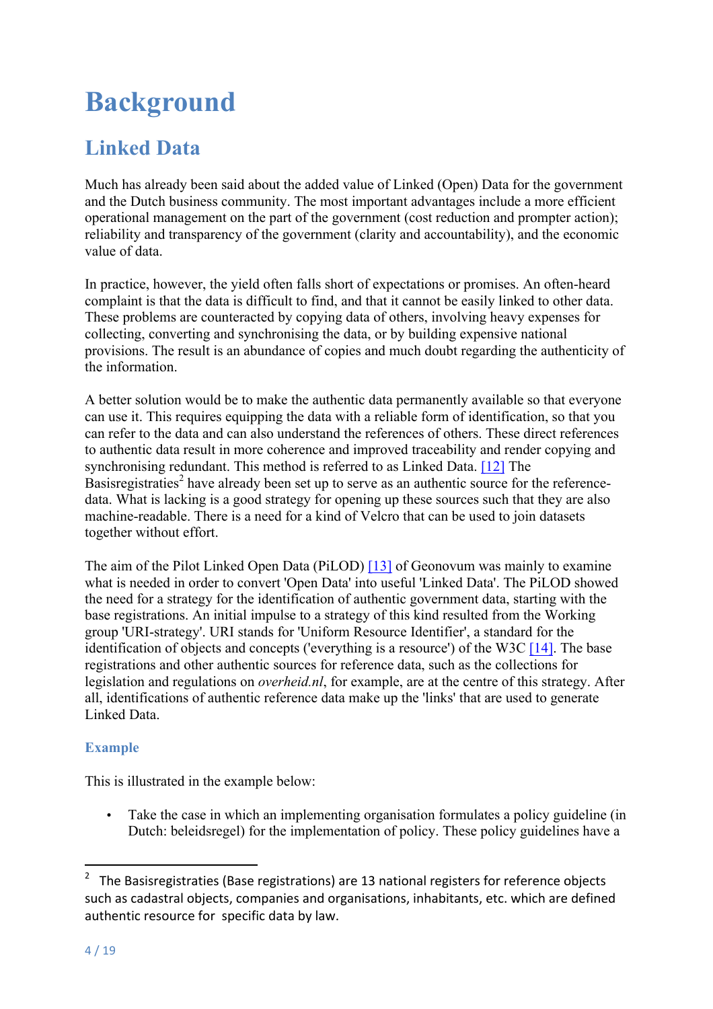# **Background**

# **Linked Data**

Much has already been said about the added value of Linked (Open) Data for the government and the Dutch business community. The most important advantages include a more efficient operational management on the part of the government (cost reduction and prompter action); reliability and transparency of the government (clarity and accountability), and the economic value of data.

In practice, however, the yield often falls short of expectations or promises. An often-heard complaint is that the data is difficult to find, and that it cannot be easily linked to other data. These problems are counteracted by copying data of others, involving heavy expenses for collecting, converting and synchronising the data, or by building expensive national provisions. The result is an abundance of copies and much doubt regarding the authenticity of the information.

A better solution would be to make the authentic data permanently available so that everyone can use it. This requires equipping the data with a reliable form of identification, so that you can refer to the data and can also understand the references of others. These direct references to authentic data result in more coherence and improved traceability and render copying and synchronising redundant. This method is referred to as Linked Data. [12] The Basisregistraties<sup>2</sup> have already been set up to serve as an authentic source for the referencedata. What is lacking is a good strategy for opening up these sources such that they are also machine-readable. There is a need for a kind of Velcro that can be used to join datasets together without effort.

The aim of the Pilot Linked Open Data (PiLOD) [13] of Geonovum was mainly to examine what is needed in order to convert 'Open Data' into useful 'Linked Data'. The PiLOD showed the need for a strategy for the identification of authentic government data, starting with the base registrations. An initial impulse to a strategy of this kind resulted from the Working group 'URI-strategy'. URI stands for 'Uniform Resource Identifier', a standard for the identification of objects and concepts ('everything is a resource') of the W3C [14]. The base registrations and other authentic sources for reference data, such as the collections for legislation and regulations on *overheid.nl*, for example, are at the centre of this strategy. After all, identifications of authentic reference data make up the 'links' that are used to generate Linked Data.

#### **Example**

This is illustrated in the example below:

<u> 1989 - Johann Stein, fransk politik (d. 1989)</u>

• Take the case in which an implementing organisation formulates a policy guideline (in Dutch: beleidsregel) for the implementation of policy. These policy guidelines have a

<sup>&</sup>lt;sup>2</sup> The Basisregistraties (Base registrations) are 13 national registers for reference objects such as cadastral objects, companies and organisations, inhabitants, etc. which are defined authentic resource for specific data by law.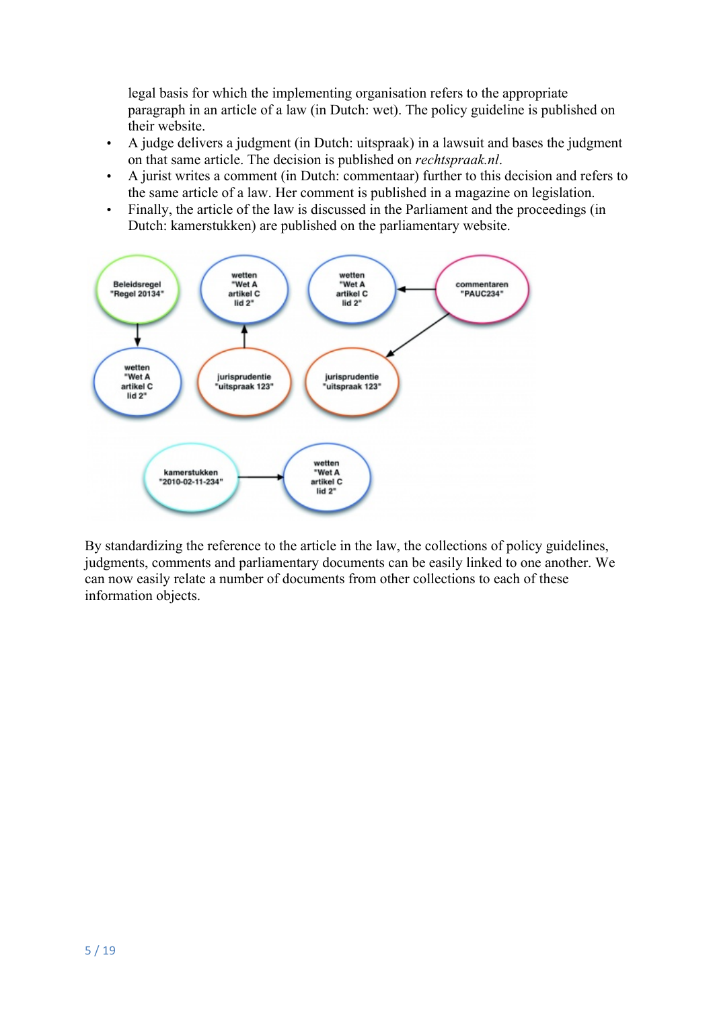legal basis for which the implementing organisation refers to the appropriate paragraph in an article of a law (in Dutch: wet). The policy guideline is published on their website.

- A judge delivers a judgment (in Dutch: uitspraak) in a lawsuit and bases the judgment on that same article. The decision is published on *rechtspraak.nl*.
- A jurist writes a comment (in Dutch: commentaar) further to this decision and refers to the same article of a law. Her comment is published in a magazine on legislation.
- Finally, the article of the law is discussed in the Parliament and the proceedings (in Dutch: kamerstukken) are published on the parliamentary website.



By standardizing the reference to the article in the law, the collections of policy guidelines, judgments, comments and parliamentary documents can be easily linked to one another. We can now easily relate a number of documents from other collections to each of these information objects.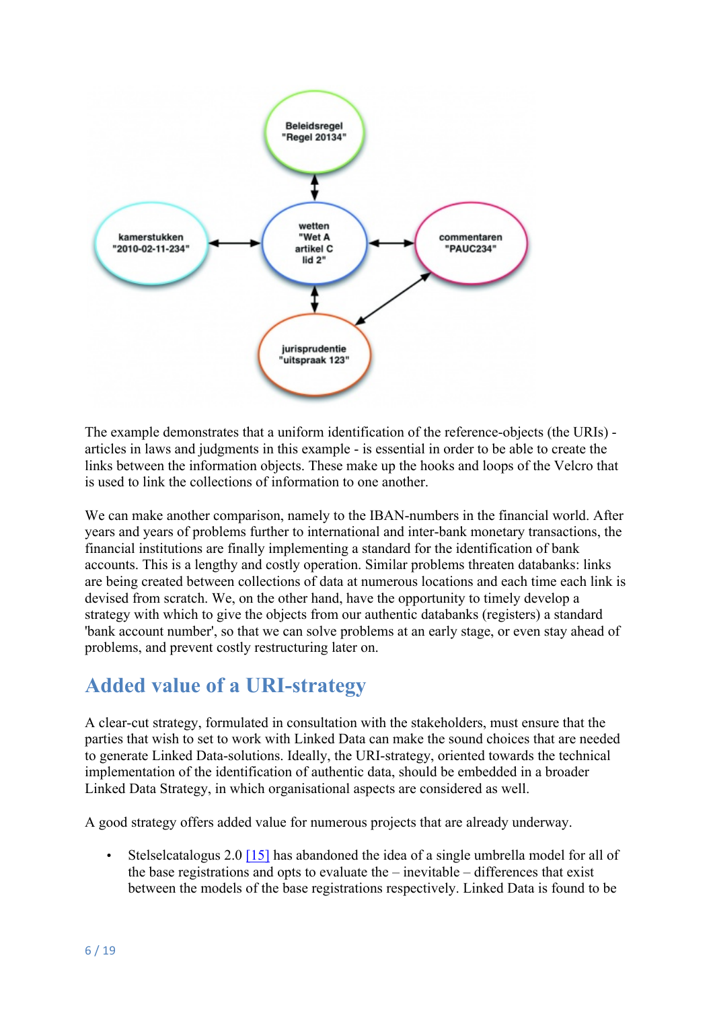

The example demonstrates that a uniform identification of the reference-objects (the URIs) articles in laws and judgments in this example - is essential in order to be able to create the links between the information objects. These make up the hooks and loops of the Velcro that is used to link the collections of information to one another.

We can make another comparison, namely to the IBAN-numbers in the financial world. After years and years of problems further to international and inter-bank monetary transactions, the financial institutions are finally implementing a standard for the identification of bank accounts. This is a lengthy and costly operation. Similar problems threaten databanks: links are being created between collections of data at numerous locations and each time each link is devised from scratch. We, on the other hand, have the opportunity to timely develop a strategy with which to give the objects from our authentic databanks (registers) a standard 'bank account number', so that we can solve problems at an early stage, or even stay ahead of problems, and prevent costly restructuring later on.

### **Added value of a URI-strategy**

A clear-cut strategy, formulated in consultation with the stakeholders, must ensure that the parties that wish to set to work with Linked Data can make the sound choices that are needed to generate Linked Data-solutions. Ideally, the URI-strategy, oriented towards the technical implementation of the identification of authentic data, should be embedded in a broader Linked Data Strategy, in which organisational aspects are considered as well.

A good strategy offers added value for numerous projects that are already underway.

• Stelselcatalogus 2.0 [15] has abandoned the idea of a single umbrella model for all of the base registrations and opts to evaluate the  $-$  inevitable  $-$  differences that exist between the models of the base registrations respectively. Linked Data is found to be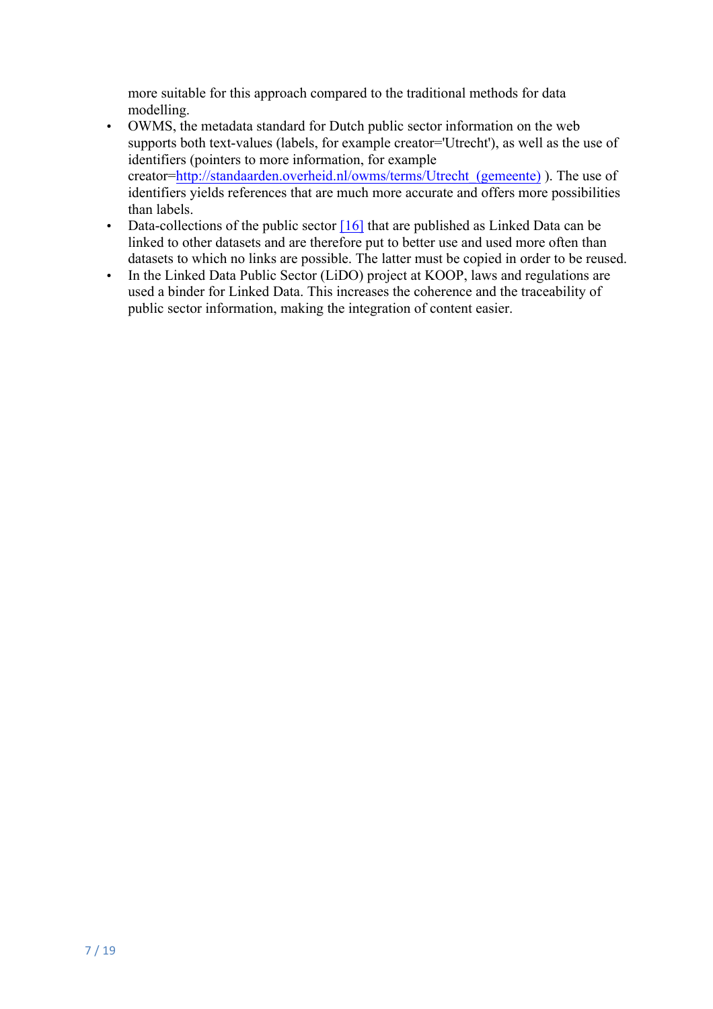more suitable for this approach compared to the traditional methods for data modelling.

- OWMS, the metadata standard for Dutch public sector information on the web supports both text-values (labels, for example creator='Utrecht'), as well as the use of identifiers (pointers to more information, for example creator=http://standaarden.overheid.nl/owms/terms/Utrecht\_(gemeente) ). The use of identifiers yields references that are much more accurate and offers more possibilities than labels.
- Data-collections of the public sector  $[16]$  that are published as Linked Data can be linked to other datasets and are therefore put to better use and used more often than datasets to which no links are possible. The latter must be copied in order to be reused.
- In the Linked Data Public Sector (LiDO) project at KOOP, laws and regulations are used a binder for Linked Data. This increases the coherence and the traceability of public sector information, making the integration of content easier.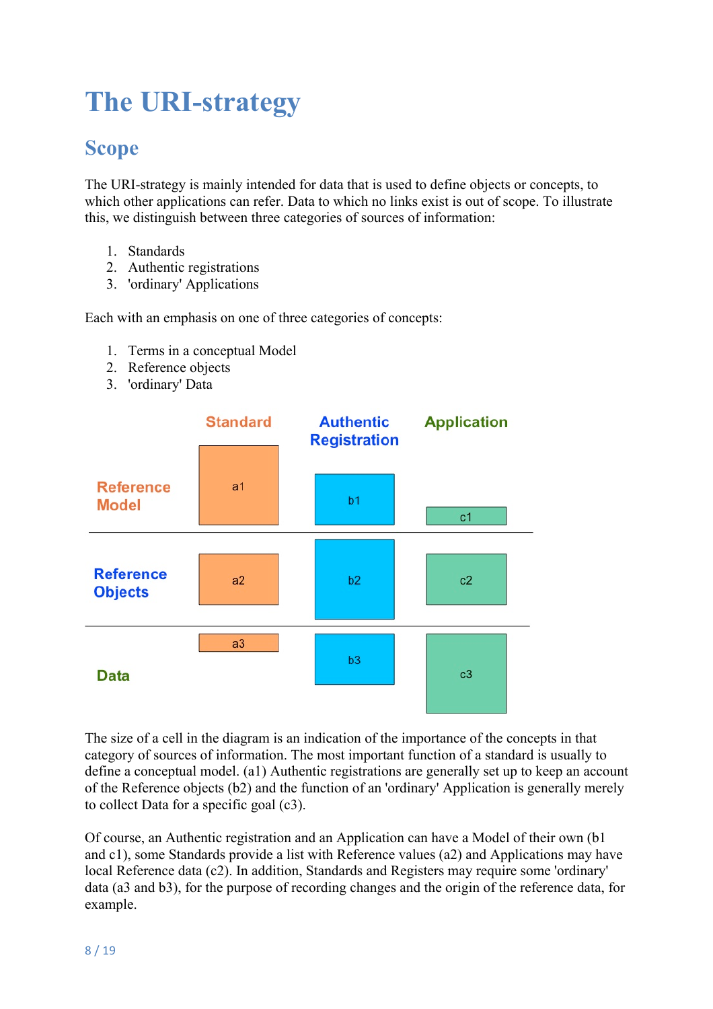# **The URI-strategy**

## **Scope**

The URI-strategy is mainly intended for data that is used to define objects or concepts, to which other applications can refer. Data to which no links exist is out of scope. To illustrate this, we distinguish between three categories of sources of information:

- 1. Standards
- 2. Authentic registrations
- 3. 'ordinary' Applications

Each with an emphasis on one of three categories of concepts:

- 1. Terms in a conceptual Model
- 2. Reference objects
- 3. 'ordinary' Data



The size of a cell in the diagram is an indication of the importance of the concepts in that category of sources of information. The most important function of a standard is usually to define a conceptual model. (a1) Authentic registrations are generally set up to keep an account of the Reference objects (b2) and the function of an 'ordinary' Application is generally merely to collect Data for a specific goal (c3).

Of course, an Authentic registration and an Application can have a Model of their own (b1 and c1), some Standards provide a list with Reference values (a2) and Applications may have local Reference data (c2). In addition, Standards and Registers may require some 'ordinary' data (a3 and b3), for the purpose of recording changes and the origin of the reference data, for example.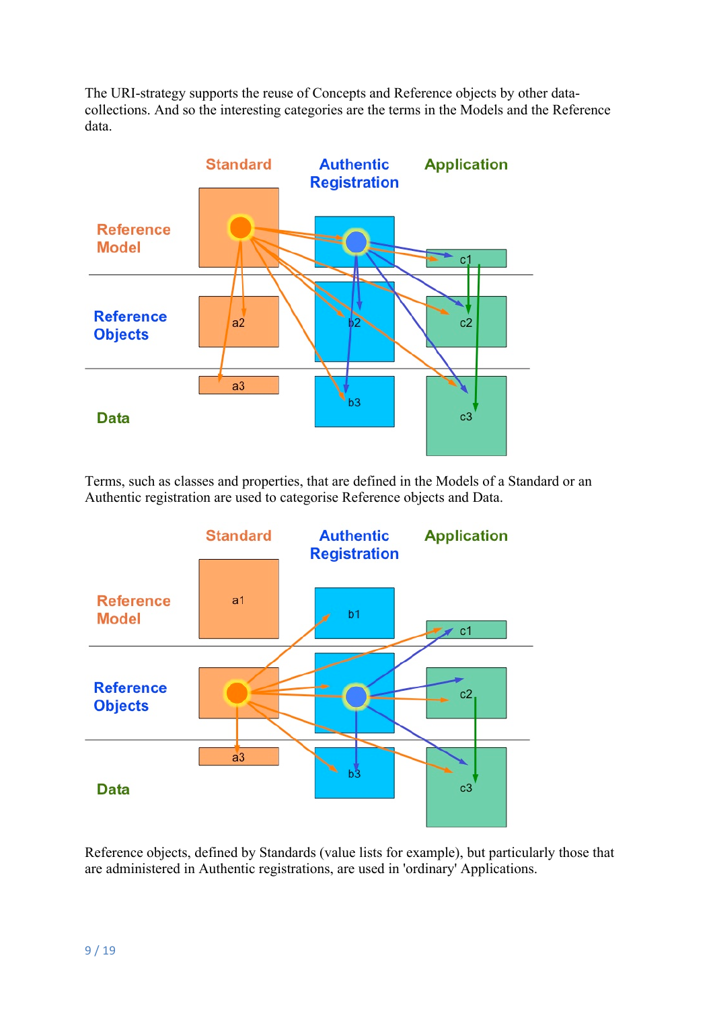The URI-strategy supports the reuse of Concepts and Reference objects by other datacollections. And so the interesting categories are the terms in the Models and the Reference data.



Terms, such as classes and properties, that are defined in the Models of a Standard or an Authentic registration are used to categorise Reference objects and Data.



Reference objects, defined by Standards (value lists for example), but particularly those that are administered in Authentic registrations, are used in 'ordinary' Applications.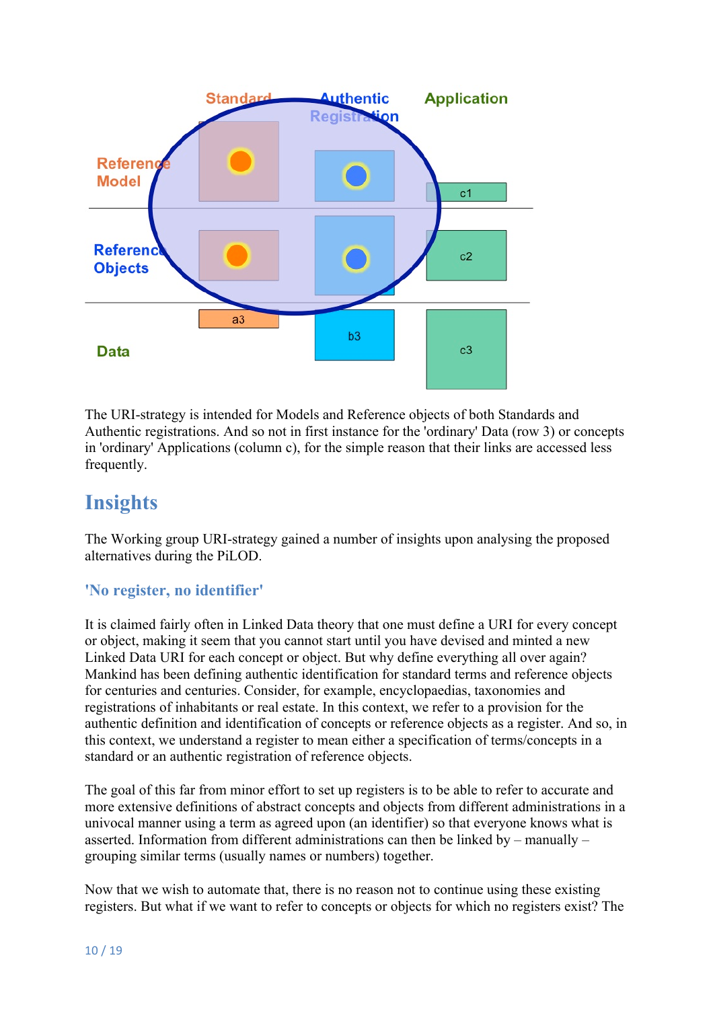

The URI-strategy is intended for Models and Reference objects of both Standards and Authentic registrations. And so not in first instance for the 'ordinary' Data (row 3) or concepts in 'ordinary' Applications (column c), for the simple reason that their links are accessed less frequently.

## **Insights**

The Working group URI-strategy gained a number of insights upon analysing the proposed alternatives during the PiLOD.

#### **'No register, no identifier'**

It is claimed fairly often in Linked Data theory that one must define a URI for every concept or object, making it seem that you cannot start until you have devised and minted a new Linked Data URI for each concept or object. But why define everything all over again? Mankind has been defining authentic identification for standard terms and reference objects for centuries and centuries. Consider, for example, encyclopaedias, taxonomies and registrations of inhabitants or real estate. In this context, we refer to a provision for the authentic definition and identification of concepts or reference objects as a register. And so, in this context, we understand a register to mean either a specification of terms/concepts in a standard or an authentic registration of reference objects.

The goal of this far from minor effort to set up registers is to be able to refer to accurate and more extensive definitions of abstract concepts and objects from different administrations in a univocal manner using a term as agreed upon (an identifier) so that everyone knows what is asserted. Information from different administrations can then be linked by – manually – grouping similar terms (usually names or numbers) together.

Now that we wish to automate that, there is no reason not to continue using these existing registers. But what if we want to refer to concepts or objects for which no registers exist? The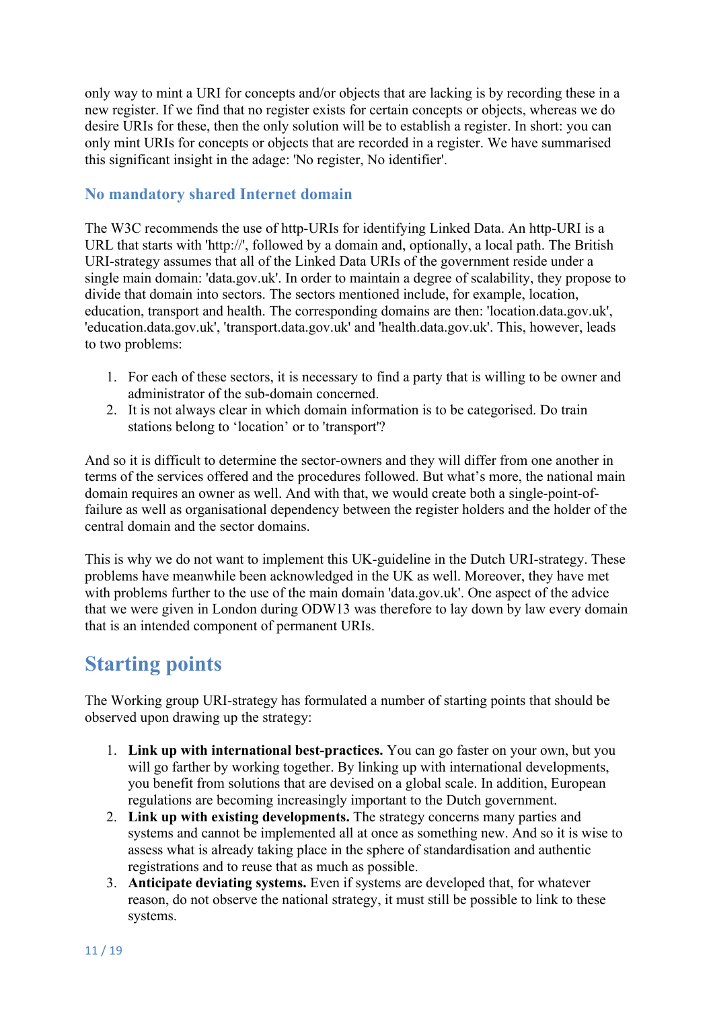only way to mint a URI for concepts and/or objects that are lacking is by recording these in a new register. If we find that no register exists for certain concepts or objects, whereas we do desire URIs for these, then the only solution will be to establish a register. In short: you can only mint URIs for concepts or objects that are recorded in a register. We have summarised this significant insight in the adage: 'No register, No identifier'.

#### **No mandatory shared Internet domain**

The W3C recommends the use of http-URIs for identifying Linked Data. An http-URI is a URL that starts with 'http://', followed by a domain and, optionally, a local path. The British URI-strategy assumes that all of the Linked Data URIs of the government reside under a single main domain: 'data.gov.uk'. In order to maintain a degree of scalability, they propose to divide that domain into sectors. The sectors mentioned include, for example, location, education, transport and health. The corresponding domains are then: 'location.data.gov.uk', 'education.data.gov.uk', 'transport.data.gov.uk' and 'health.data.gov.uk'. This, however, leads to two problems:

- 1. For each of these sectors, it is necessary to find a party that is willing to be owner and administrator of the sub-domain concerned.
- 2. It is not always clear in which domain information is to be categorised. Do train stations belong to 'location' or to 'transport'?

And so it is difficult to determine the sector-owners and they will differ from one another in terms of the services offered and the procedures followed. But what's more, the national main domain requires an owner as well. And with that, we would create both a single-point-offailure as well as organisational dependency between the register holders and the holder of the central domain and the sector domains.

This is why we do not want to implement this UK-guideline in the Dutch URI-strategy. These problems have meanwhile been acknowledged in the UK as well. Moreover, they have met with problems further to the use of the main domain 'data.gov.uk'. One aspect of the advice that we were given in London during ODW13 was therefore to lay down by law every domain that is an intended component of permanent URIs.

### **Starting points**

The Working group URI-strategy has formulated a number of starting points that should be observed upon drawing up the strategy:

- 1. **Link up with international best-practices.** You can go faster on your own, but you will go farther by working together. By linking up with international developments, you benefit from solutions that are devised on a global scale. In addition, European regulations are becoming increasingly important to the Dutch government.
- 2. **Link up with existing developments.** The strategy concerns many parties and systems and cannot be implemented all at once as something new. And so it is wise to assess what is already taking place in the sphere of standardisation and authentic registrations and to reuse that as much as possible.
- 3. **Anticipate deviating systems.** Even if systems are developed that, for whatever reason, do not observe the national strategy, it must still be possible to link to these systems.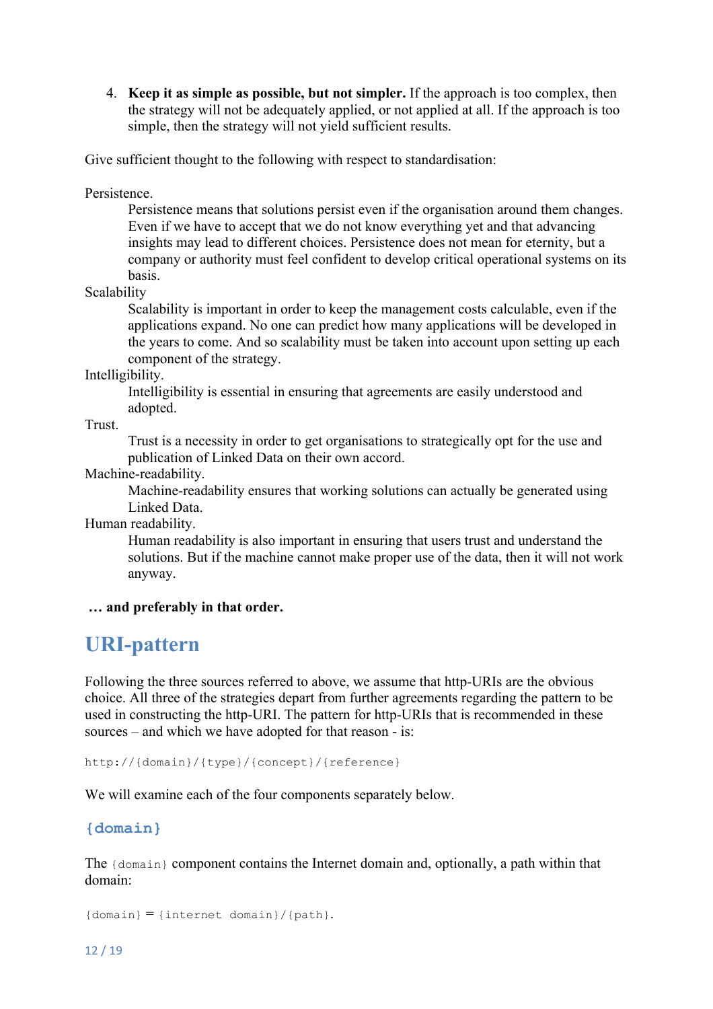4. **Keep it as simple as possible, but not simpler.** If the approach is too complex, then the strategy will not be adequately applied, or not applied at all. If the approach is too simple, then the strategy will not yield sufficient results.

Give sufficient thought to the following with respect to standardisation:

Persistence.

Persistence means that solutions persist even if the organisation around them changes. Even if we have to accept that we do not know everything yet and that advancing insights may lead to different choices. Persistence does not mean for eternity, but a company or authority must feel confident to develop critical operational systems on its basis.

Scalability

Scalability is important in order to keep the management costs calculable, even if the applications expand. No one can predict how many applications will be developed in the years to come. And so scalability must be taken into account upon setting up each component of the strategy.

Intelligibility.

Intelligibility is essential in ensuring that agreements are easily understood and adopted.

Trust.

Trust is a necessity in order to get organisations to strategically opt for the use and publication of Linked Data on their own accord.

Machine-readability.

Machine-readability ensures that working solutions can actually be generated using Linked Data.

Human readability.

Human readability is also important in ensuring that users trust and understand the solutions. But if the machine cannot make proper use of the data, then it will not work anyway.

**… and preferably in that order.**

#### **URI-pattern**

Following the three sources referred to above, we assume that http-URIs are the obvious choice. All three of the strategies depart from further agreements regarding the pattern to be used in constructing the http-URI. The pattern for http-URIs that is recommended in these sources – and which we have adopted for that reason - is:

http://{domain}/{type}/{concept}/{reference}

We will examine each of the four components separately below.

#### **{domain}**

The {domain} component contains the Internet domain and, optionally, a path within that domain:

```
{\text{domain}} = {\text{internet domain}} / {\text{path}}.
```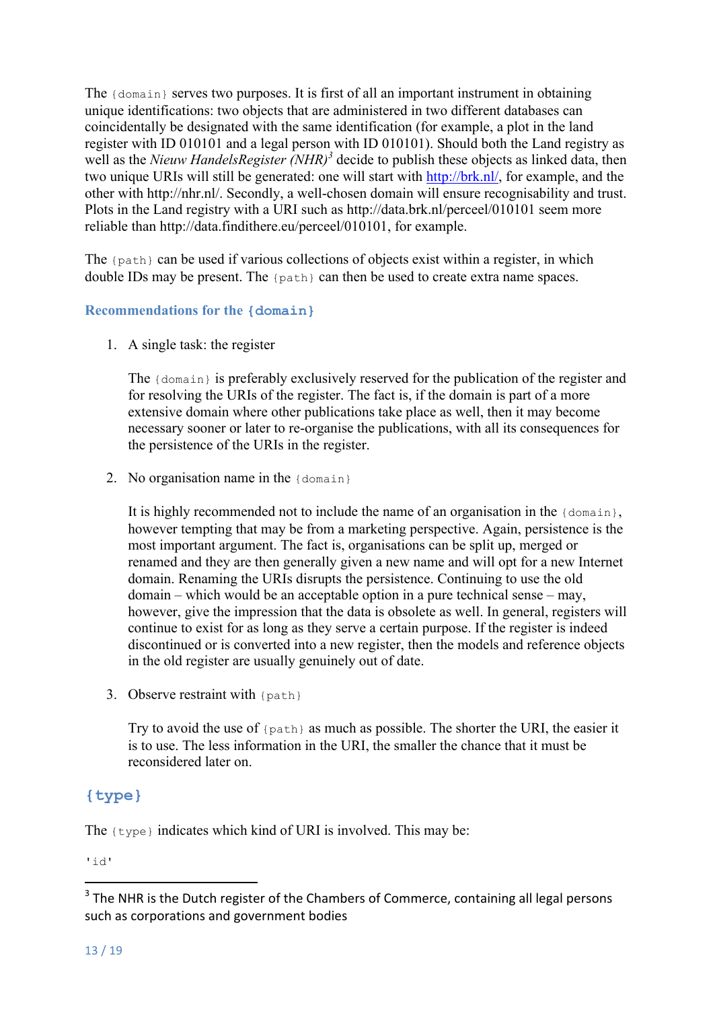The {domain} serves two purposes. It is first of all an important instrument in obtaining unique identifications: two objects that are administered in two different databases can coincidentally be designated with the same identification (for example, a plot in the land register with ID 010101 and a legal person with ID 010101). Should both the Land registry as well as the *Nieuw HandelsRegister (NHR)<sup>3</sup>* decide to publish these objects as linked data, then two unique URIs will still be generated: one will start with http://brk.nl/, for example, and the other with http://nhr.nl/. Secondly, a well-chosen domain will ensure recognisability and trust. Plots in the Land registry with a URI such as http://data.brk.nl/perceel/010101 seem more reliable than http://data.findithere.eu/perceel/010101, for example.

The {path} can be used if various collections of objects exist within a register, in which double IDs may be present. The {path} can then be used to create extra name spaces.

#### **Recommendations for the {domain}**

1. A single task: the register

The {domain} is preferably exclusively reserved for the publication of the register and for resolving the URIs of the register. The fact is, if the domain is part of a more extensive domain where other publications take place as well, then it may become necessary sooner or later to re-organise the publications, with all its consequences for the persistence of the URIs in the register.

2. No organisation name in the {domain}

It is highly recommended not to include the name of an organisation in the  ${domain}$ , however tempting that may be from a marketing perspective. Again, persistence is the most important argument. The fact is, organisations can be split up, merged or renamed and they are then generally given a new name and will opt for a new Internet domain. Renaming the URIs disrupts the persistence. Continuing to use the old domain – which would be an acceptable option in a pure technical sense – may, however, give the impression that the data is obsolete as well. In general, registers will continue to exist for as long as they serve a certain purpose. If the register is indeed discontinued or is converted into a new register, then the models and reference objects in the old register are usually genuinely out of date.

3. Observe restraint with {path}

 

Try to avoid the use of {path} as much as possible. The shorter the URI, the easier it is to use. The less information in the URI, the smaller the chance that it must be reconsidered later on.

#### **{type}**

The  $\{type\}$  indicates which kind of URI is involved. This may be:

'id'

 $3$  The NHR is the Dutch register of the Chambers of Commerce, containing all legal persons such as corporations and government bodies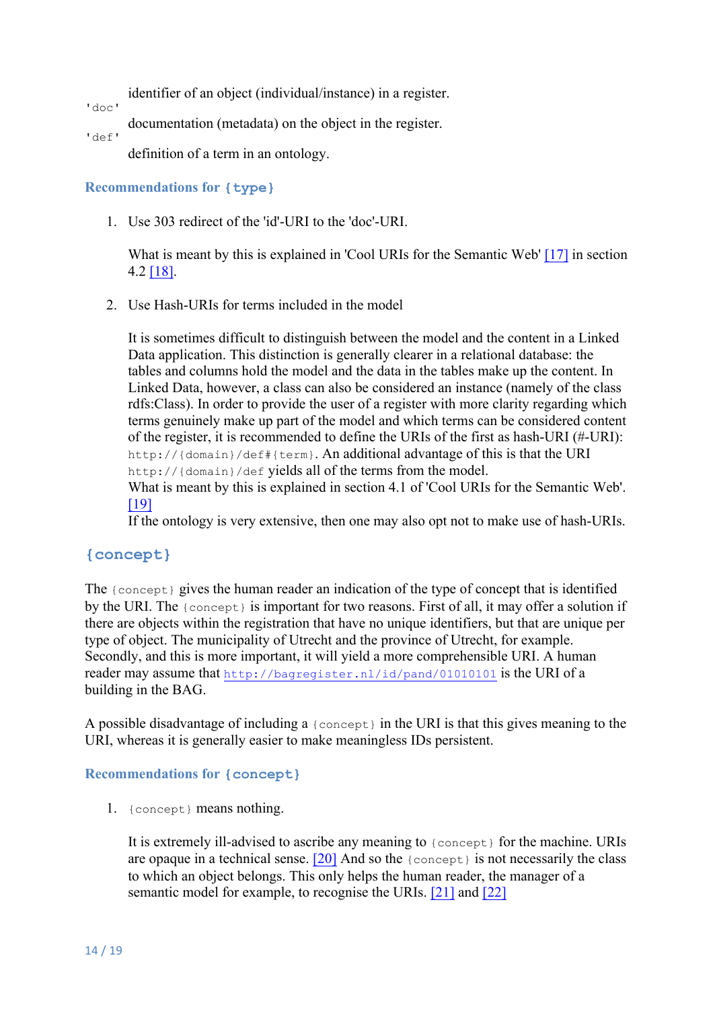identifier of an object (individual/instance) in a register.

'doc'

documentation (metadata) on the object in the register.

'def'

definition of a term in an ontology.

#### **Recommendations for {type}**

1. Use 303 redirect of the 'id'-URI to the 'doc'-URI.

What is meant by this is explained in 'Cool URIs for the Semantic Web' [17] in section 4.2 [18].

2. Use Hash-URIs for terms included in the model

It is sometimes difficult to distinguish between the model and the content in a Linked Data application. This distinction is generally clearer in a relational database: the tables and columns hold the model and the data in the tables make up the content. In Linked Data, however, a class can also be considered an instance (namely of the class rdfs:Class). In order to provide the user of a register with more clarity regarding which terms genuinely make up part of the model and which terms can be considered content of the register, it is recommended to define the URIs of the first as hash-URI (#-URI): http://{domain}/def#{term}. An additional advantage of this is that the URI http://{domain}/def yields all of the terms from the model.

What is meant by this is explained in section 4.1 of 'Cool URIs for the Semantic Web'. [19]

If the ontology is very extensive, then one may also opt not to make use of hash-URIs.

#### **{concept}**

The {concept} gives the human reader an indication of the type of concept that is identified by the URI. The {concept} is important for two reasons. First of all, it may offer a solution if there are objects within the registration that have no unique identifiers, but that are unique per type of object. The municipality of Utrecht and the province of Utrecht, for example. Secondly, and this is more important, it will yield a more comprehensible URI. A human reader may assume that http://bagregister.nl/id/pand/01010101 is the URI of a building in the BAG.

A possible disadvantage of including a {concept} in the URI is that this gives meaning to the URI, whereas it is generally easier to make meaningless IDs persistent.

#### **Recommendations for {concept}**

1. {concept} means nothing.

It is extremely ill-advised to ascribe any meaning to {concept} for the machine. URIs are opaque in a technical sense.  $[20]$  And so the  ${1 \choose 2}$  concept  ${1 \choose 2}$  is not necessarily the class to which an object belongs. This only helps the human reader, the manager of a semantic model for example, to recognise the URIs. [21] and [22]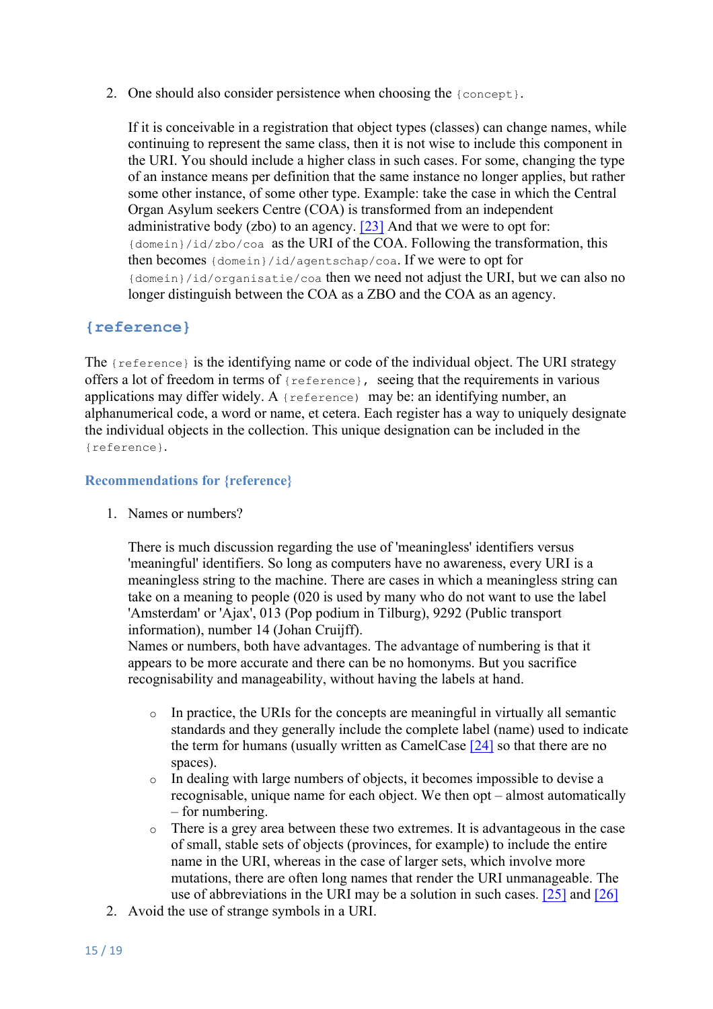2. One should also consider persistence when choosing the {concept}.

If it is conceivable in a registration that object types (classes) can change names, while continuing to represent the same class, then it is not wise to include this component in the URI. You should include a higher class in such cases. For some, changing the type of an instance means per definition that the same instance no longer applies, but rather some other instance, of some other type. Example: take the case in which the Central Organ Asylum seekers Centre (COA) is transformed from an independent administrative body (zbo) to an agency.  $[23]$  And that we were to opt for: {domein}/id/zbo/coa as the URI of the COA. Following the transformation, this then becomes {domein}/id/agentschap/coa. If we were to opt for {domein}/id/organisatie/coa then we need not adjust the URI, but we can also no longer distinguish between the COA as a ZBO and the COA as an agency.

#### **{reference}**

The {reference} is the identifying name or code of the individual object. The URI strategy offers a lot of freedom in terms of {reference}, seeing that the requirements in various applications may differ widely. A {reference) may be: an identifying number, an alphanumerical code, a word or name, et cetera. Each register has a way to uniquely designate the individual objects in the collection. This unique designation can be included in the {reference}.

#### **Recommendations for {reference}**

1. Names or numbers?

There is much discussion regarding the use of 'meaningless' identifiers versus 'meaningful' identifiers. So long as computers have no awareness, every URI is a meaningless string to the machine. There are cases in which a meaningless string can take on a meaning to people (020 is used by many who do not want to use the label 'Amsterdam' or 'Ajax', 013 (Pop podium in Tilburg), 9292 (Public transport information), number 14 (Johan Cruijff).

Names or numbers, both have advantages. The advantage of numbering is that it appears to be more accurate and there can be no homonyms. But you sacrifice recognisability and manageability, without having the labels at hand.

- o In practice, the URIs for the concepts are meaningful in virtually all semantic standards and they generally include the complete label (name) used to indicate the term for humans (usually written as CamelCase [24] so that there are no spaces).
- o In dealing with large numbers of objects, it becomes impossible to devise a recognisable, unique name for each object. We then opt – almost automatically – for numbering.
- o There is a grey area between these two extremes. It is advantageous in the case of small, stable sets of objects (provinces, for example) to include the entire name in the URI, whereas in the case of larger sets, which involve more mutations, there are often long names that render the URI unmanageable. The use of abbreviations in the URI may be a solution in such cases. [25] and [26]
- 2. Avoid the use of strange symbols in a URI.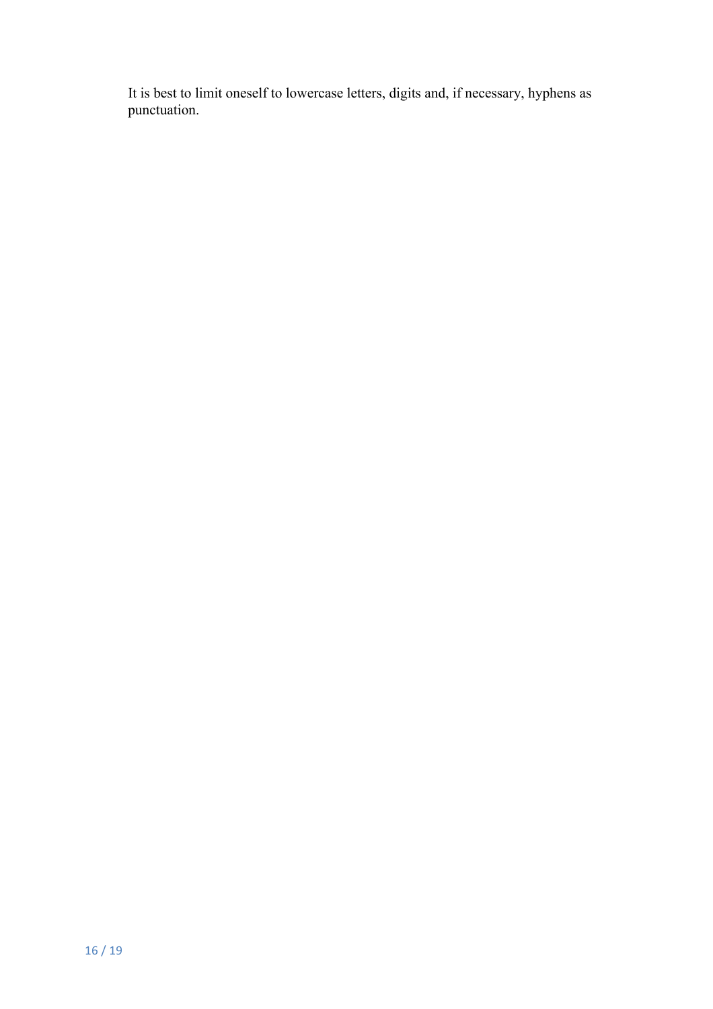It is best to limit oneself to lowercase letters, digits and, if necessary, hyphens as punctuation.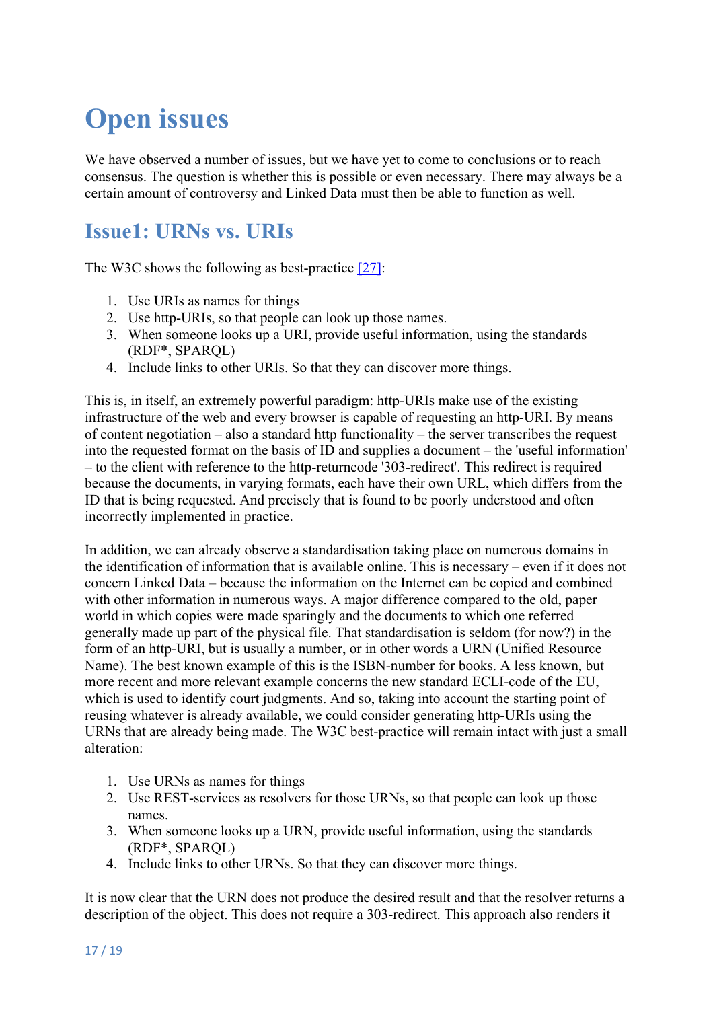# **Open issues**

We have observed a number of issues, but we have yet to come to conclusions or to reach consensus. The question is whether this is possible or even necessary. There may always be a certain amount of controversy and Linked Data must then be able to function as well.

### **Issue1: URNs vs. URIs**

The W3C shows the following as best-practice [27]:

- 1. Use URIs as names for things
- 2. Use http-URIs, so that people can look up those names.
- 3. When someone looks up a URI, provide useful information, using the standards (RDF\*, SPARQL)
- 4. Include links to other URIs. So that they can discover more things.

This is, in itself, an extremely powerful paradigm: http-URIs make use of the existing infrastructure of the web and every browser is capable of requesting an http-URI. By means of content negotiation – also a standard http functionality – the server transcribes the request into the requested format on the basis of ID and supplies a document – the 'useful information' – to the client with reference to the http-returncode '303-redirect'. This redirect is required because the documents, in varying formats, each have their own URL, which differs from the ID that is being requested. And precisely that is found to be poorly understood and often incorrectly implemented in practice.

In addition, we can already observe a standardisation taking place on numerous domains in the identification of information that is available online. This is necessary – even if it does not concern Linked Data – because the information on the Internet can be copied and combined with other information in numerous ways. A major difference compared to the old, paper world in which copies were made sparingly and the documents to which one referred generally made up part of the physical file. That standardisation is seldom (for now?) in the form of an http-URI, but is usually a number, or in other words a URN (Unified Resource Name). The best known example of this is the ISBN-number for books. A less known, but more recent and more relevant example concerns the new standard ECLI-code of the EU, which is used to identify court judgments. And so, taking into account the starting point of reusing whatever is already available, we could consider generating http-URIs using the URNs that are already being made. The W3C best-practice will remain intact with just a small alteration:

- 1. Use URNs as names for things
- 2. Use REST-services as resolvers for those URNs, so that people can look up those names.
- 3. When someone looks up a URN, provide useful information, using the standards (RDF\*, SPARQL)
- 4. Include links to other URNs. So that they can discover more things.

It is now clear that the URN does not produce the desired result and that the resolver returns a description of the object. This does not require a 303-redirect. This approach also renders it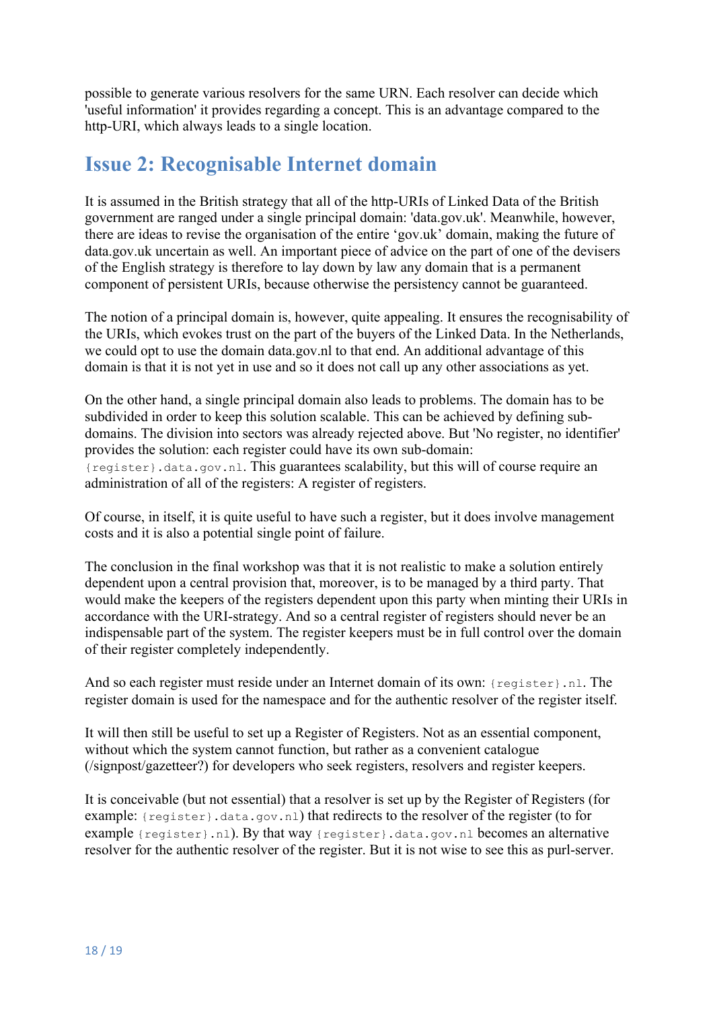possible to generate various resolvers for the same URN. Each resolver can decide which 'useful information' it provides regarding a concept. This is an advantage compared to the http-URI, which always leads to a single location.

### **Issue 2: Recognisable Internet domain**

It is assumed in the British strategy that all of the http-URIs of Linked Data of the British government are ranged under a single principal domain: 'data.gov.uk'. Meanwhile, however, there are ideas to revise the organisation of the entire 'gov.uk' domain, making the future of data.gov.uk uncertain as well. An important piece of advice on the part of one of the devisers of the English strategy is therefore to lay down by law any domain that is a permanent component of persistent URIs, because otherwise the persistency cannot be guaranteed.

The notion of a principal domain is, however, quite appealing. It ensures the recognisability of the URIs, which evokes trust on the part of the buyers of the Linked Data. In the Netherlands, we could opt to use the domain data.gov.nl to that end. An additional advantage of this domain is that it is not yet in use and so it does not call up any other associations as yet.

On the other hand, a single principal domain also leads to problems. The domain has to be subdivided in order to keep this solution scalable. This can be achieved by defining subdomains. The division into sectors was already rejected above. But 'No register, no identifier' provides the solution: each register could have its own sub-domain: {register}.data.gov.nl. This guarantees scalability, but this will of course require an administration of all of the registers: A register of registers.

Of course, in itself, it is quite useful to have such a register, but it does involve management costs and it is also a potential single point of failure.

The conclusion in the final workshop was that it is not realistic to make a solution entirely dependent upon a central provision that, moreover, is to be managed by a third party. That would make the keepers of the registers dependent upon this party when minting their URIs in accordance with the URI-strategy. And so a central register of registers should never be an indispensable part of the system. The register keepers must be in full control over the domain of their register completely independently.

And so each register must reside under an Internet domain of its own: {register}.nl. The register domain is used for the namespace and for the authentic resolver of the register itself.

It will then still be useful to set up a Register of Registers. Not as an essential component, without which the system cannot function, but rather as a convenient catalogue (/signpost/gazetteer?) for developers who seek registers, resolvers and register keepers.

It is conceivable (but not essential) that a resolver is set up by the Register of Registers (for example: {register}.data.gov.nl) that redirects to the resolver of the register (to for example {register}.nl). By that way {register}.data.gov.nl becomes an alternative resolver for the authentic resolver of the register. But it is not wise to see this as purl-server.